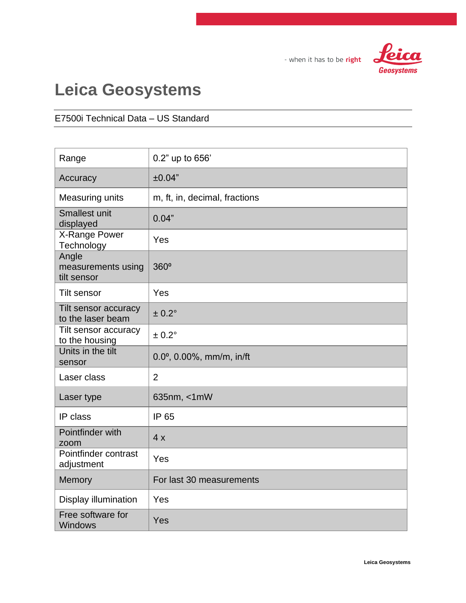

## **Leica Geosystems**

#### E7500i Technical Data – US Standard

| Range                                      | 0.2" up to 656'                             |
|--------------------------------------------|---------------------------------------------|
| Accuracy                                   | ±0.04"                                      |
| <b>Measuring units</b>                     | m, ft, in, decimal, fractions               |
| <b>Smallest unit</b><br>displayed          | 0.04"                                       |
| X-Range Power<br>Technology                | Yes                                         |
| Angle<br>measurements using<br>tilt sensor | 360°                                        |
| <b>Tilt sensor</b>                         | Yes                                         |
| Tilt sensor accuracy<br>to the laser beam  | ± 0.2°                                      |
| Tilt sensor accuracy<br>to the housing     | $± 0.2^\circ$                               |
| Units in the tilt<br>sensor                | $0.0$ <sup>o</sup> , $0.00\%$ , mm/m, in/ft |
| Laser class                                | $\overline{2}$                              |
| Laser type                                 | 635nm, <1mW                                 |
| IP class                                   | IP 65                                       |
| Pointfinder with<br>zoom                   | 4x                                          |
| Pointfinder contrast<br>adjustment         | Yes                                         |
| <b>Memory</b>                              | For last 30 measurements                    |
| Display illumination                       | Yes                                         |
| Free software for<br><b>Windows</b>        | Yes                                         |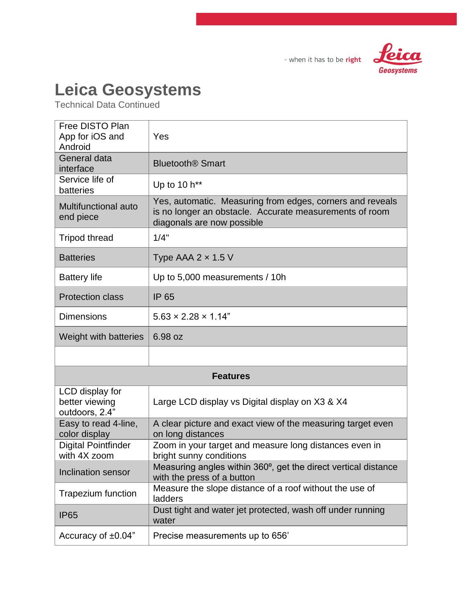

### **Leica Geosystems**

Technical Data Continued

| Free DISTO Plan<br>App for iOS and<br>Android       | Yes                                                                                                                                                |
|-----------------------------------------------------|----------------------------------------------------------------------------------------------------------------------------------------------------|
| General data<br>interface                           | <b>Bluetooth<sup>®</sup> Smart</b>                                                                                                                 |
| Service life of<br>batteries                        | Up to 10 h**                                                                                                                                       |
| Multifunctional auto<br>end piece                   | Yes, automatic. Measuring from edges, corners and reveals<br>is no longer an obstacle. Accurate measurements of room<br>diagonals are now possible |
| <b>Tripod thread</b>                                | 1/4"                                                                                                                                               |
| <b>Batteries</b>                                    | Type AAA $2 \times 1.5$ V                                                                                                                          |
| <b>Battery life</b>                                 | Up to 5,000 measurements / 10h                                                                                                                     |
| <b>Protection class</b>                             | <b>IP 65</b>                                                                                                                                       |
| <b>Dimensions</b>                                   | $5.63 \times 2.28 \times 1.14$ "                                                                                                                   |
| Weight with batteries                               | 6.98 oz                                                                                                                                            |
|                                                     |                                                                                                                                                    |
|                                                     | <b>Features</b>                                                                                                                                    |
| LCD display for<br>better viewing<br>outdoors, 2.4" | Large LCD display vs Digital display on X3 & X4                                                                                                    |
| Easy to read 4-line,<br>color display               | A clear picture and exact view of the measuring target even<br>on long distances                                                                   |
| <b>Digital Pointfinder</b><br>with 4X zoom          | Zoom in your target and measure long distances even in<br>bright sunny conditions                                                                  |
| Inclination sensor                                  | Measuring angles within 360°, get the direct vertical distance<br>with the press of a button                                                       |
| Trapezium function                                  | Measure the slope distance of a roof without the use of<br>ladders                                                                                 |
| <b>IP65</b>                                         | Dust tight and water jet protected, wash off under running                                                                                         |
|                                                     | water                                                                                                                                              |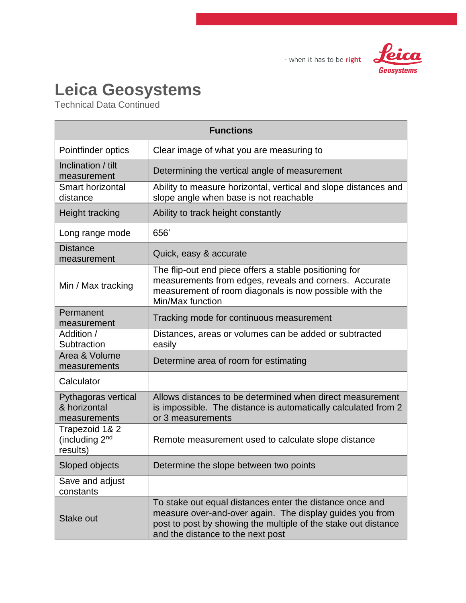

## **Leica Geosystems**

Technical Data Continued

| <b>Functions</b>                                    |                                                                                                                                                                                                                             |  |
|-----------------------------------------------------|-----------------------------------------------------------------------------------------------------------------------------------------------------------------------------------------------------------------------------|--|
| Pointfinder optics                                  | Clear image of what you are measuring to                                                                                                                                                                                    |  |
| Inclination / tilt<br>measurement                   | Determining the vertical angle of measurement                                                                                                                                                                               |  |
| <b>Smart horizontal</b><br>distance                 | Ability to measure horizontal, vertical and slope distances and<br>slope angle when base is not reachable                                                                                                                   |  |
| <b>Height tracking</b>                              | Ability to track height constantly                                                                                                                                                                                          |  |
| Long range mode                                     | 656                                                                                                                                                                                                                         |  |
| <b>Distance</b><br>measurement                      | Quick, easy & accurate                                                                                                                                                                                                      |  |
| Min / Max tracking                                  | The flip-out end piece offers a stable positioning for<br>measurements from edges, reveals and corners. Accurate<br>measurement of room diagonals is now possible with the<br>Min/Max function                              |  |
| Permanent<br>measurement                            | Tracking mode for continuous measurement                                                                                                                                                                                    |  |
| Addition /<br>Subtraction                           | Distances, areas or volumes can be added or subtracted<br>easily                                                                                                                                                            |  |
| Area & Volume<br>measurements                       | Determine area of room for estimating                                                                                                                                                                                       |  |
| Calculator                                          |                                                                                                                                                                                                                             |  |
| Pythagoras vertical<br>& horizontal<br>measurements | Allows distances to be determined when direct measurement<br>is impossible. The distance is automatically calculated from 2<br>or 3 measurements                                                                            |  |
| Trapezoid 1& 2<br>(including $2nd$<br>results)      | Remote measurement used to calculate slope distance                                                                                                                                                                         |  |
| Sloped objects                                      | Determine the slope between two points                                                                                                                                                                                      |  |
| Save and adjust<br>constants                        |                                                                                                                                                                                                                             |  |
| Stake out                                           | To stake out equal distances enter the distance once and<br>measure over-and-over again. The display guides you from<br>post to post by showing the multiple of the stake out distance<br>and the distance to the next post |  |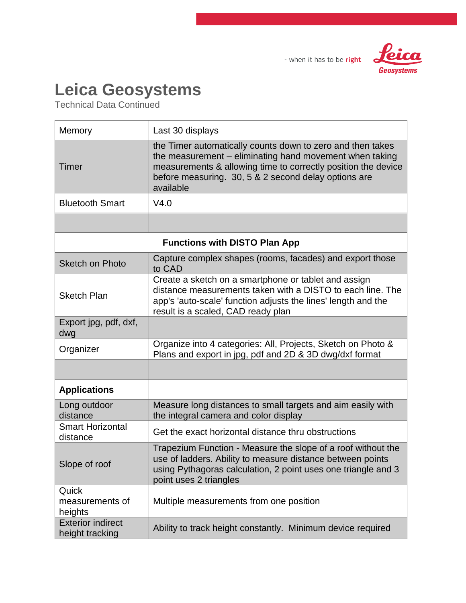

### **Leica Geosystems**

Technical Data Continued

| Memory                                      | Last 30 displays                                                                                                                                                                                                                                            |  |
|---------------------------------------------|-------------------------------------------------------------------------------------------------------------------------------------------------------------------------------------------------------------------------------------------------------------|--|
| Timer                                       | the Timer automatically counts down to zero and then takes<br>the measurement – eliminating hand movement when taking<br>measurements & allowing time to correctly position the device<br>before measuring. 30, 5 & 2 second delay options are<br>available |  |
| <b>Bluetooth Smart</b>                      | V4.0                                                                                                                                                                                                                                                        |  |
|                                             |                                                                                                                                                                                                                                                             |  |
| <b>Functions with DISTO Plan App</b>        |                                                                                                                                                                                                                                                             |  |
| <b>Sketch on Photo</b>                      | Capture complex shapes (rooms, facades) and export those<br>to CAD                                                                                                                                                                                          |  |
| <b>Sketch Plan</b>                          | Create a sketch on a smartphone or tablet and assign<br>distance measurements taken with a DISTO to each line. The<br>app's 'auto-scale' function adjusts the lines' length and the<br>result is a scaled, CAD ready plan                                   |  |
| Export jpg, pdf, dxf,<br>dwg                |                                                                                                                                                                                                                                                             |  |
| Organizer                                   | Organize into 4 categories: All, Projects, Sketch on Photo &<br>Plans and export in jpg, pdf and 2D & 3D dwg/dxf format                                                                                                                                     |  |
|                                             |                                                                                                                                                                                                                                                             |  |
| <b>Applications</b>                         |                                                                                                                                                                                                                                                             |  |
| Long outdoor<br>distance                    | Measure long distances to small targets and aim easily with<br>the integral camera and color display                                                                                                                                                        |  |
| <b>Smart Horizontal</b><br>distance         | Get the exact horizontal distance thru obstructions                                                                                                                                                                                                         |  |
| Slope of roof                               | Trapezium Function - Measure the slope of a roof without the<br>use of ladders. Ability to measure distance between points<br>using Pythagoras calculation, 2 point uses one triangle and 3<br>point uses 2 triangles                                       |  |
| Quick<br>measurements of<br>heights         | Multiple measurements from one position                                                                                                                                                                                                                     |  |
| <b>Exterior indirect</b><br>height tracking | Ability to track height constantly. Minimum device required                                                                                                                                                                                                 |  |